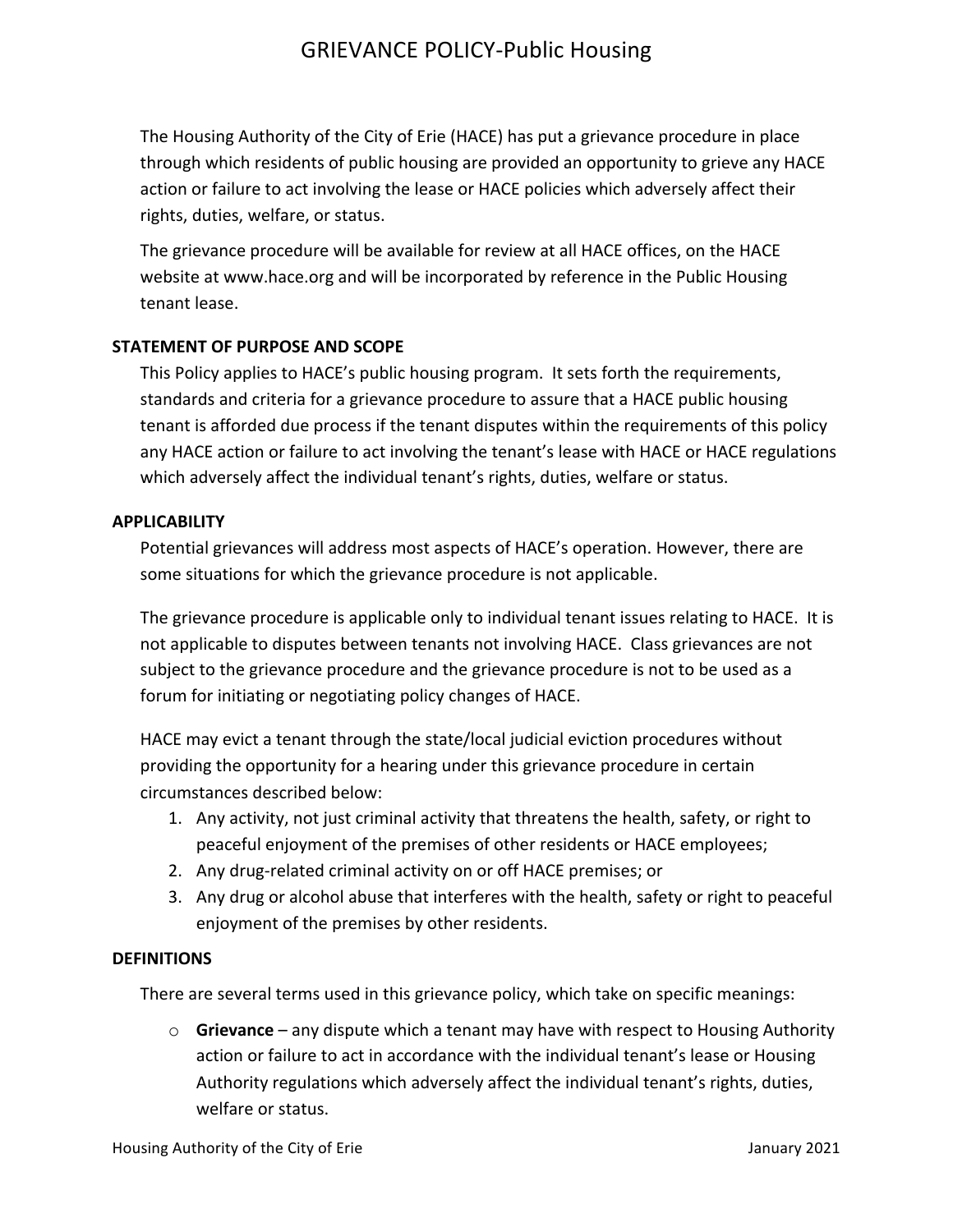The Housing Authority of the City of Erie (HACE) has put a grievance procedure in place through which residents of public housing are provided an opportunity to grieve any HACE action or failure to act involving the lease or HACE policies which adversely affect their rights, duties, welfare, or status.

The grievance procedure will be available for review at all HACE offices, on the HACE website at www.hace.org and will be incorporated by reference in the Public Housing tenant lease.

## **STATEMENT OF PURPOSE AND SCOPE**

This Policy applies to HACE's public housing program. It sets forth the requirements, standards and criteria for a grievance procedure to assure that a HACE public housing tenant is afforded due process if the tenant disputes within the requirements of this policy any HACE action or failure to act involving the tenant's lease with HACE or HACE regulations which adversely affect the individual tenant's rights, duties, welfare or status.

## **APPLICABILITY**

Potential grievances will address most aspects of HACE's operation. However, there are some situations for which the grievance procedure is not applicable.

The grievance procedure is applicable only to individual tenant issues relating to HACE. It is not applicable to disputes between tenants not involving HACE. Class grievances are not subject to the grievance procedure and the grievance procedure is not to be used as a forum for initiating or negotiating policy changes of HACE.

HACE may evict a tenant through the state/local judicial eviction procedures without providing the opportunity for a hearing under this grievance procedure in certain circumstances described below:

- 1. Any activity, not just criminal activity that threatens the health, safety, or right to peaceful enjoyment of the premises of other residents or HACE employees;
- 2. Any drug-related criminal activity on or off HACE premises; or
- 3. Any drug or alcohol abuse that interferes with the health, safety or right to peaceful enjoyment of the premises by other residents.

## **DEFINITIONS**

There are several terms used in this grievance policy, which take on specific meanings:

 $\circ$  **Grievance** – any dispute which a tenant may have with respect to Housing Authority action or failure to act in accordance with the individual tenant's lease or Housing Authority regulations which adversely affect the individual tenant's rights, duties, welfare or status.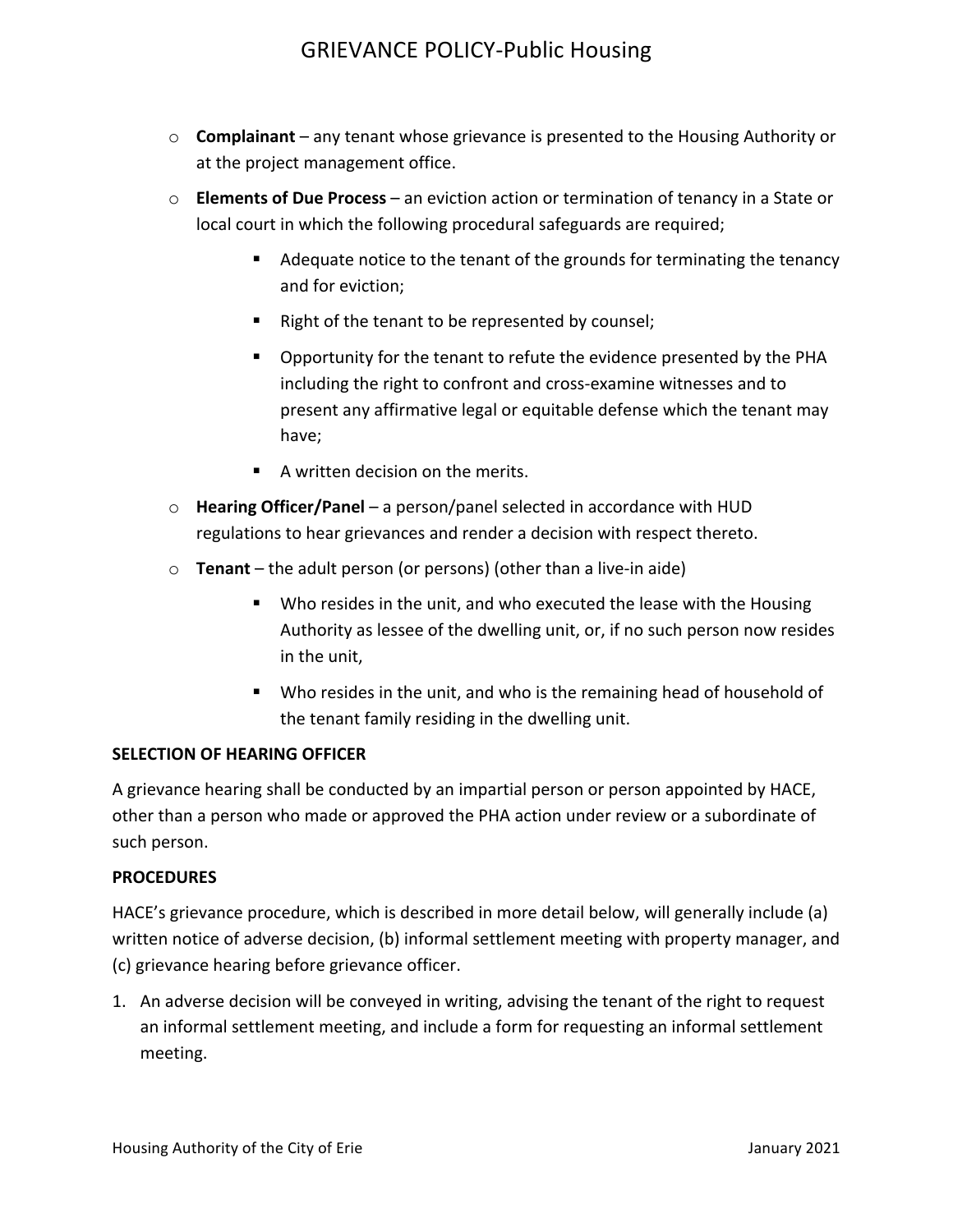- o **Complainant** any tenant whose grievance is presented to the Housing Authority or at the project management office.
- $\circ$  **Elements of Due Process** an eviction action or termination of tenancy in a State or local court in which the following procedural safeguards are required;
	- Adequate notice to the tenant of the grounds for terminating the tenancy and for eviction;
	- " Right of the tenant to be represented by counsel;
	- Opportunity for the tenant to refute the evidence presented by the PHA including the right to confront and cross-examine witnesses and to present any affirmative legal or equitable defense which the tenant may have;
	- A written decision on the merits.
- o **Hearing Officer/Panel** a person/panel selected in accordance with HUD regulations to hear grievances and render a decision with respect thereto.
- $\circ$  **Tenant** the adult person (or persons) (other than a live-in aide)
	- Who resides in the unit, and who executed the lease with the Housing Authority as lessee of the dwelling unit, or, if no such person now resides in the unit,
	- Who resides in the unit, and who is the remaining head of household of the tenant family residing in the dwelling unit.

## **SELECTION OF HEARING OFFICER**

A grievance hearing shall be conducted by an impartial person or person appointed by HACE, other than a person who made or approved the PHA action under review or a subordinate of such person.

## **PROCEDURES**

HACE's grievance procedure, which is described in more detail below, will generally include (a) written notice of adverse decision, (b) informal settlement meeting with property manager, and (c) grievance hearing before grievance officer.

1. An adverse decision will be conveyed in writing, advising the tenant of the right to request an informal settlement meeting, and include a form for requesting an informal settlement meeting.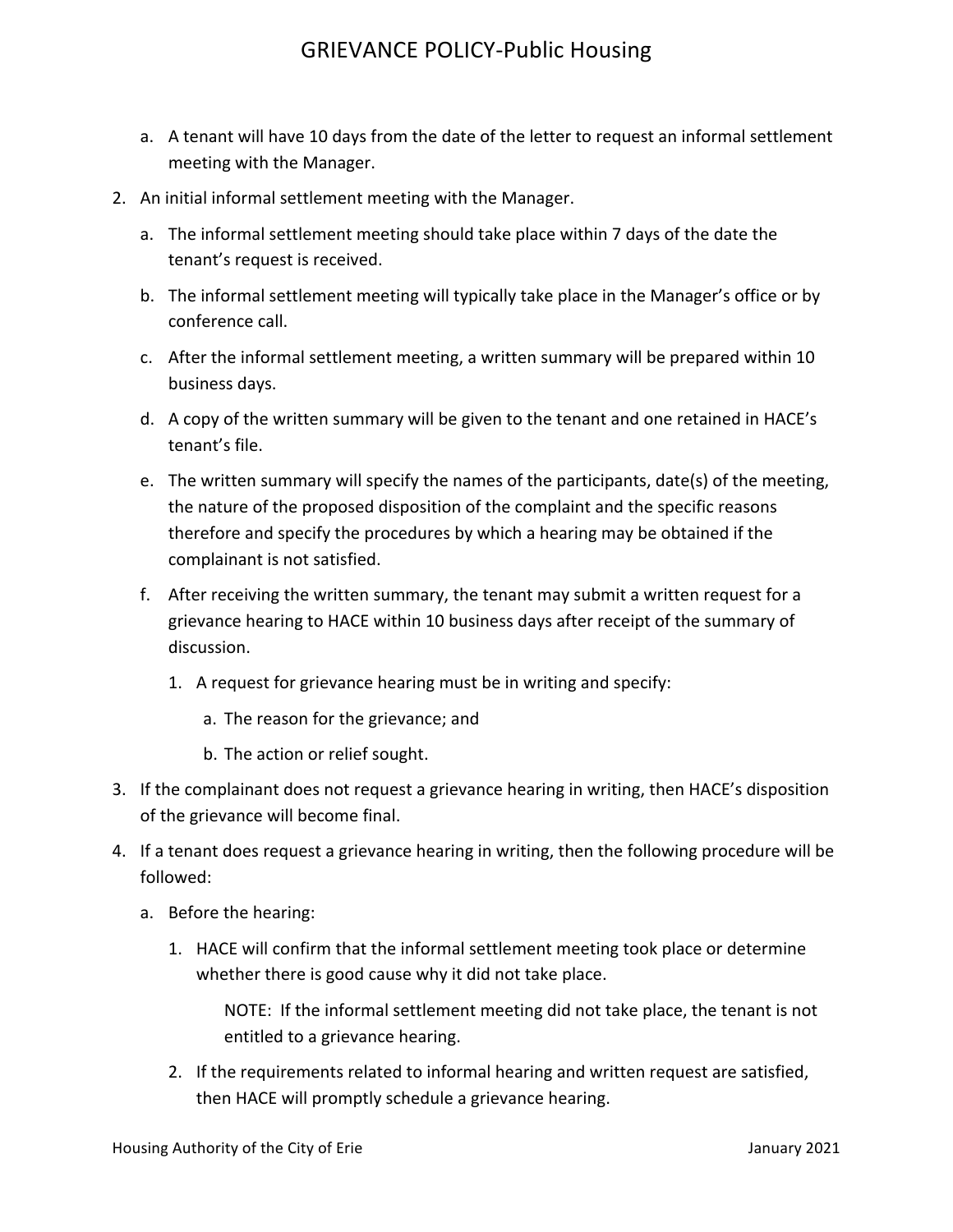- a. A tenant will have 10 days from the date of the letter to request an informal settlement meeting with the Manager.
- 2. An initial informal settlement meeting with the Manager.
	- a. The informal settlement meeting should take place within 7 days of the date the tenant's request is received.
	- b. The informal settlement meeting will typically take place in the Manager's office or by conference call.
	- c. After the informal settlement meeting, a written summary will be prepared within 10 business days.
	- d. A copy of the written summary will be given to the tenant and one retained in HACE's tenant's file.
	- e. The written summary will specify the names of the participants, date(s) of the meeting, the nature of the proposed disposition of the complaint and the specific reasons therefore and specify the procedures by which a hearing may be obtained if the complainant is not satisfied.
	- f. After receiving the written summary, the tenant may submit a written request for a grievance hearing to HACE within 10 business days after receipt of the summary of discussion.
		- 1. A request for grievance hearing must be in writing and specify:
			- a. The reason for the grievance; and
			- b. The action or relief sought.
- 3. If the complainant does not request a grievance hearing in writing, then HACE's disposition of the grievance will become final.
- 4. If a tenant does request a grievance hearing in writing, then the following procedure will be followed:
	- a. Before the hearing:
		- 1. HACE will confirm that the informal settlement meeting took place or determine whether there is good cause why it did not take place.

NOTE: If the informal settlement meeting did not take place, the tenant is not entitled to a grievance hearing.

2. If the requirements related to informal hearing and written request are satisfied, then HACE will promptly schedule a grievance hearing.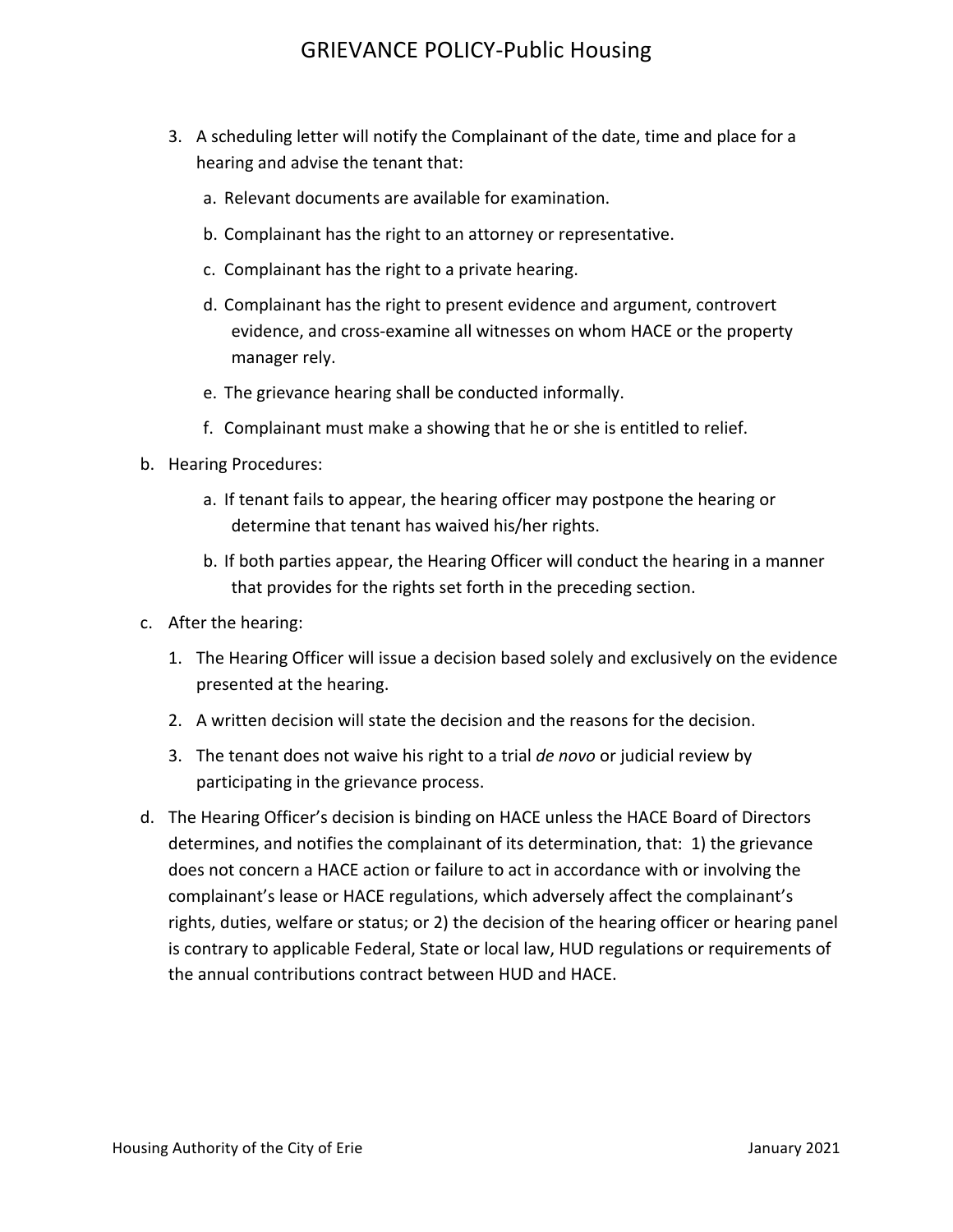- 3. A scheduling letter will notify the Complainant of the date, time and place for a hearing and advise the tenant that:
	- a. Relevant documents are available for examination.
	- b. Complainant has the right to an attorney or representative.
	- c. Complainant has the right to a private hearing.
	- d. Complainant has the right to present evidence and argument, controvert evidence, and cross-examine all witnesses on whom HACE or the property manager rely.
	- e. The grievance hearing shall be conducted informally.
	- f. Complainant must make a showing that he or she is entitled to relief.
- b. Hearing Procedures:
	- a. If tenant fails to appear, the hearing officer may postpone the hearing or determine that tenant has waived his/her rights.
	- b. If both parties appear, the Hearing Officer will conduct the hearing in a manner that provides for the rights set forth in the preceding section.
- c. After the hearing:
	- 1. The Hearing Officer will issue a decision based solely and exclusively on the evidence presented at the hearing.
	- 2. A written decision will state the decision and the reasons for the decision.
	- 3. The tenant does not waive his right to a trial *de novo* or judicial review by participating in the grievance process.
- d. The Hearing Officer's decision is binding on HACE unless the HACE Board of Directors determines, and notifies the complainant of its determination, that: 1) the grievance does not concern a HACE action or failure to act in accordance with or involving the complainant's lease or HACE regulations, which adversely affect the complainant's rights, duties, welfare or status; or 2) the decision of the hearing officer or hearing panel is contrary to applicable Federal, State or local law, HUD regulations or requirements of the annual contributions contract between HUD and HACE.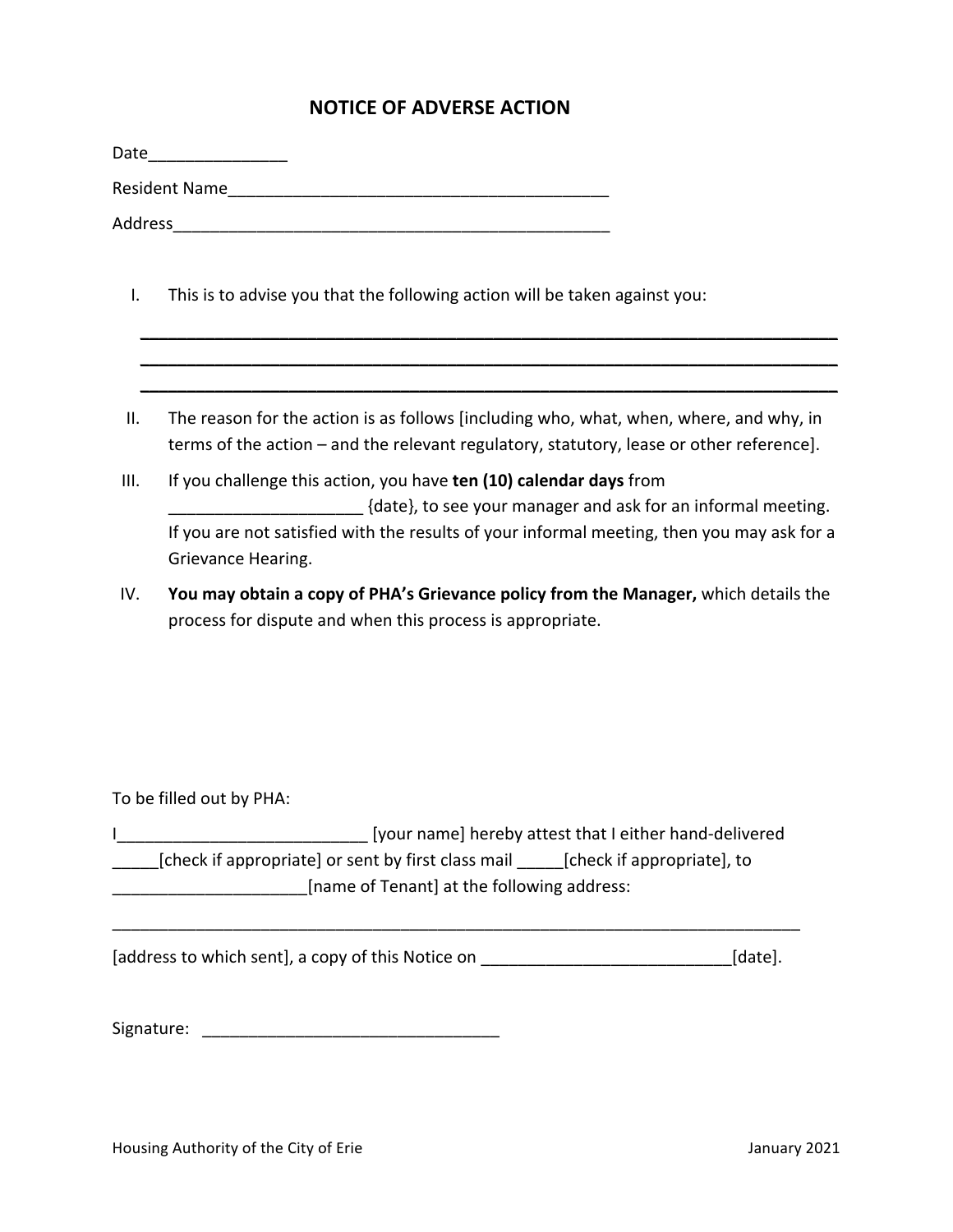## **NOTICE OF ADVERSE ACTION**

|      | Date___________________                                                                                                                                                            |  |  |
|------|------------------------------------------------------------------------------------------------------------------------------------------------------------------------------------|--|--|
|      |                                                                                                                                                                                    |  |  |
|      | Address                                                                                                                                                                            |  |  |
| I.   | This is to advise you that the following action will be taken against you:                                                                                                         |  |  |
|      |                                                                                                                                                                                    |  |  |
| Ш.   | The reason for the action is as follows [including who, what, when, where, and why, in<br>terms of the action – and the relevant regulatory, statutory, lease or other reference]. |  |  |
| III. | If you challenge this action, you have ten (10) calendar days from<br>{date}, to see your manager and ask for an informal meeting.                                                 |  |  |
|      | If you are not satisfied with the results of your informal meeting, then you may ask for a<br>Grievance Hearing.                                                                   |  |  |
| IV.  | You may obtain a copy of PHA's Grievance policy from the Manager, which details the<br>process for dispute and when this process is appropriate.                                   |  |  |
|      |                                                                                                                                                                                    |  |  |
|      | To be filled out by PHA:                                                                                                                                                           |  |  |
| L.   | Ivour namel hereby attest that Leither hand-delivered                                                                                                                              |  |  |

I\_\_\_\_\_\_\_\_\_\_\_\_\_\_\_\_\_\_\_\_\_\_\_\_\_\_\_ [your name] hereby attest that I either hand-delivered \_\_\_\_\_\_[check if appropriate] or sent by first class mail \_\_\_\_\_\_[check if appropriate], to **\_\_\_\_\_\_\_\_\_\_\_\_\_\_\_\_\_\_\_\_\_**[name of Tenant] at the following address:

[address to which sent], a copy of this Notice on \_\_\_\_\_\_\_\_\_\_\_\_\_\_\_\_\_\_\_\_\_\_\_\_\_\_\_\_\_\_\_[date].

\_\_\_\_\_\_\_\_\_\_\_\_\_\_\_\_\_\_\_\_\_\_\_\_\_\_\_\_\_\_\_\_\_\_\_\_\_\_\_\_\_\_\_\_\_\_\_\_\_\_\_\_\_\_\_\_\_\_\_\_\_\_\_\_\_\_\_\_\_\_\_\_\_\_ 

Signature: \_\_\_\_\_\_\_\_\_\_\_\_\_\_\_\_\_\_\_\_\_\_\_\_\_\_\_\_\_\_\_\_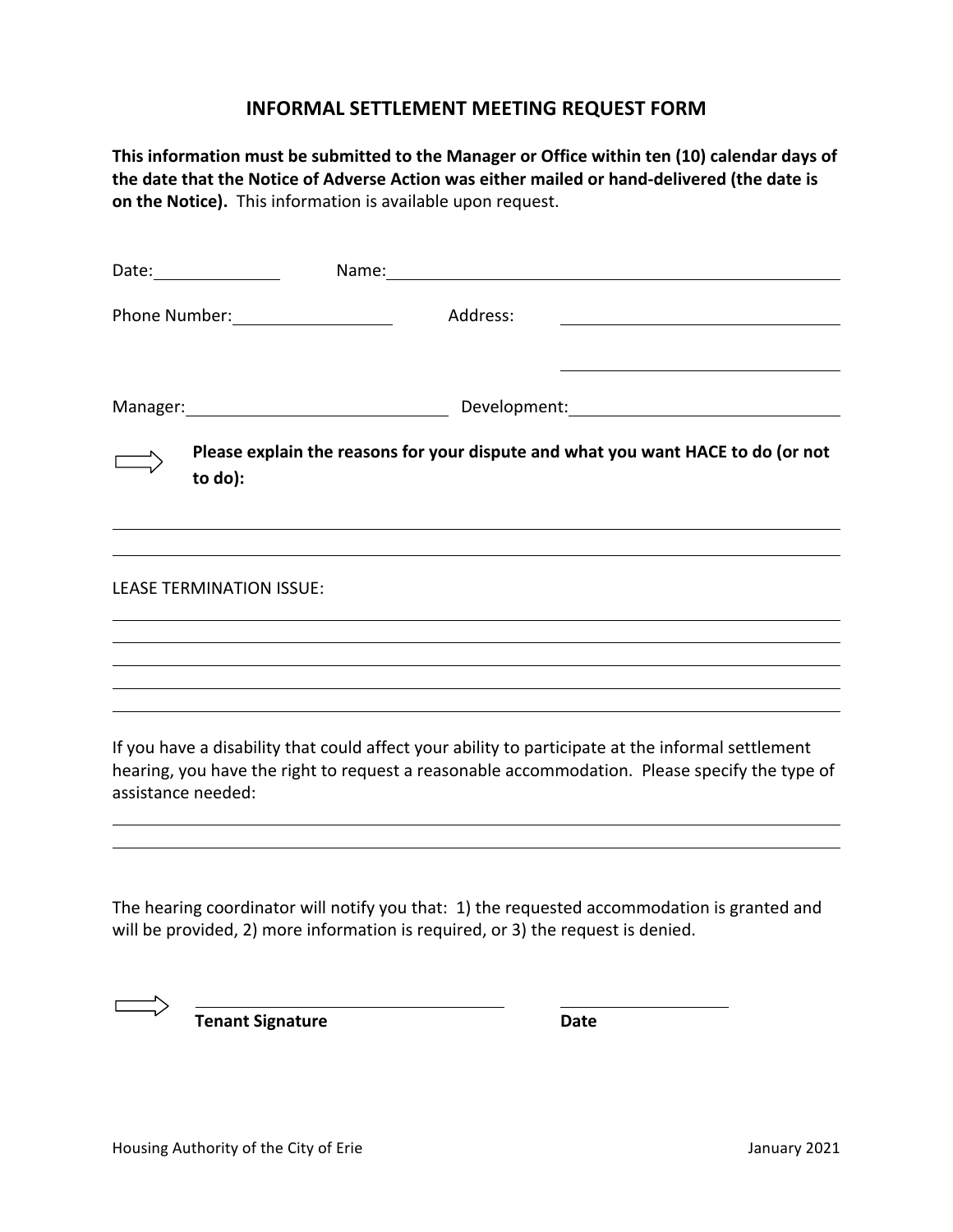# **INFORMAL SETTLEMENT MEETING REQUEST FORM**

| This information must be submitted to the Manager or Office within ten (10) calendar days of<br>the date that the Notice of Adverse Action was either mailed or hand-delivered (the date is<br>on the Notice). This information is available upon request. |                                                                                                                                                                                                    |  |  |
|------------------------------------------------------------------------------------------------------------------------------------------------------------------------------------------------------------------------------------------------------------|----------------------------------------------------------------------------------------------------------------------------------------------------------------------------------------------------|--|--|
|                                                                                                                                                                                                                                                            |                                                                                                                                                                                                    |  |  |
| Phone Number: 1990                                                                                                                                                                                                                                         | Address:<br><u> 1989 - Johann Stoff, deutscher Stoffen und der Stoffen und der Stoffen und der Stoffen und der Stoffen und der</u>                                                                 |  |  |
|                                                                                                                                                                                                                                                            | Manager: Manager:                                                                                                                                                                                  |  |  |
| to do):                                                                                                                                                                                                                                                    | Please explain the reasons for your dispute and what you want HACE to do (or not                                                                                                                   |  |  |
| <b>LEASE TERMINATION ISSUE:</b>                                                                                                                                                                                                                            |                                                                                                                                                                                                    |  |  |
|                                                                                                                                                                                                                                                            |                                                                                                                                                                                                    |  |  |
| assistance needed:                                                                                                                                                                                                                                         | If you have a disability that could affect your ability to participate at the informal settlement<br>hearing, you have the right to request a reasonable accommodation. Please specify the type of |  |  |
|                                                                                                                                                                                                                                                            |                                                                                                                                                                                                    |  |  |

The hearing coordinator will notify you that: 1) the requested accommodation is granted and will be provided, 2) more information is required, or 3) the request is denied.

**Tenant Signature Date**